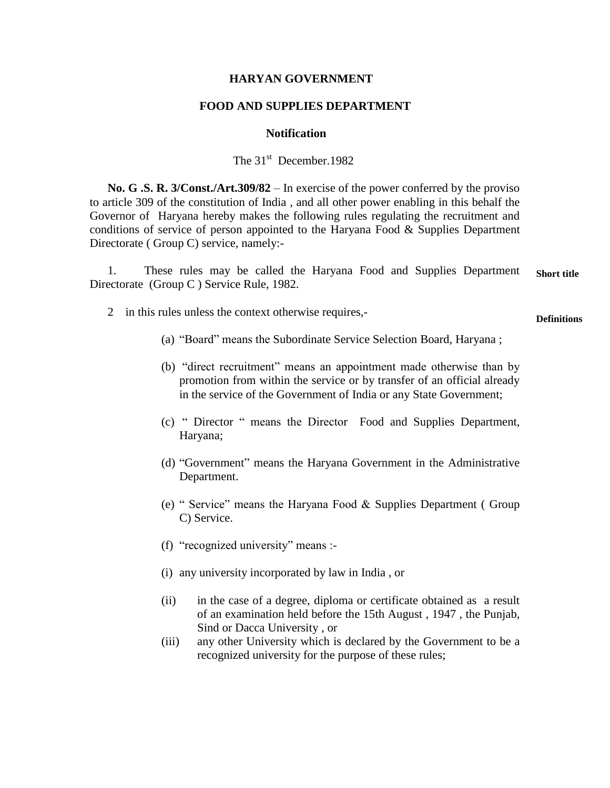## **HARYAN GOVERNMENT**

## **FOOD AND SUPPLIES DEPARTMENT**

## **Notification**

The 31<sup>st</sup> December.1982

 **No. G .S. R. 3/Const./Art.309/82** – In exercise of the power conferred by the proviso to article 309 of the constitution of India , and all other power enabling in this behalf the Governor of Haryana hereby makes the following rules regulating the recruitment and conditions of service of person appointed to the Haryana Food  $\&$  Supplies Department Directorate ( Group C) service, namely:-

 1. These rules may be called the Haryana Food and Supplies Department Directorate (Group C ) Service Rule, 1982. **Short title**

2 in this rules unless the context otherwise requires,-

**Definitions**

- (a) "Board" means the Subordinate Service Selection Board, Haryana;
- (b) "direct recruitment" means an appointment made otherwise than by promotion from within the service or by transfer of an official already in the service of the Government of India or any State Government;
- (c) ― Director ― means the Director Food and Supplies Department, Haryana;
- (d) "Government" means the Haryana Government in the Administrative Department.
- (e) "Service" means the Haryana Food  $&$  Supplies Department (Group C) Service.
- (f) "recognized university" means :-
- (i) any university incorporated by law in India , or
- (ii) in the case of a degree, diploma or certificate obtained as a result of an examination held before the 15th August , 1947 , the Punjab, Sind or Dacca University , or
- (iii) any other University which is declared by the Government to be a recognized university for the purpose of these rules;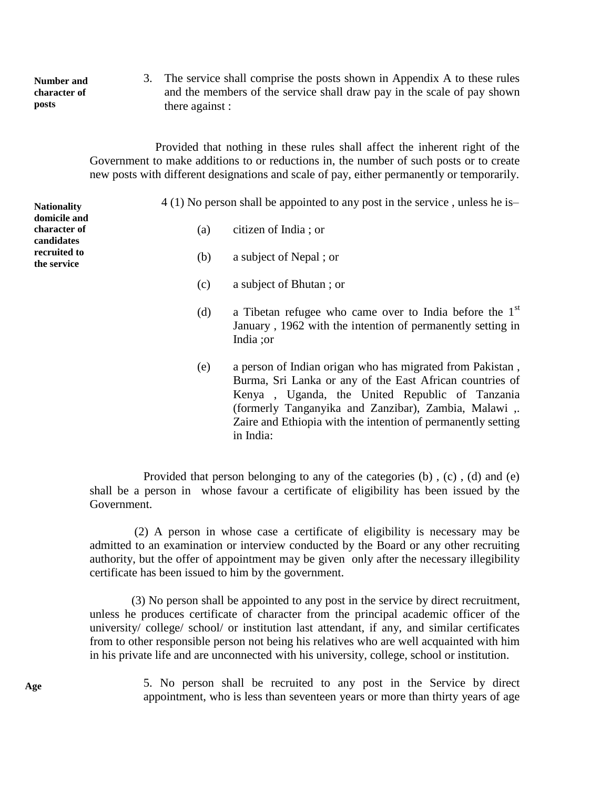**Number and character of posts**

3. The service shall comprise the posts shown in Appendix A to these rules and the members of the service shall draw pay in the scale of pay shown there against :

 Provided that nothing in these rules shall affect the inherent right of the Government to make additions to or reductions in, the number of such posts or to create new posts with different designations and scale of pay, either permanently or temporarily.

| <b>Nationality</b>                         |     | $4(1)$ No person shall be appointed to any post in the service, unless he is-                                                                                                                                                                                                                               |
|--------------------------------------------|-----|-------------------------------------------------------------------------------------------------------------------------------------------------------------------------------------------------------------------------------------------------------------------------------------------------------------|
| domicile and<br>character of<br>candidates | (a) | citizen of India; or                                                                                                                                                                                                                                                                                        |
| recruited to<br>the service                | (b) | a subject of Nepal; or                                                                                                                                                                                                                                                                                      |
|                                            | (c) | a subject of Bhutan; or                                                                                                                                                                                                                                                                                     |
|                                            | (d) | a Tibetan refugee who came over to India before the $1st$<br>January, 1962 with the intention of permanently setting in<br>India ;or                                                                                                                                                                        |
|                                            | (e) | a person of Indian origan who has migrated from Pakistan,<br>Burma, Sri Lanka or any of the East African countries of<br>Kenya, Uganda, the United Republic of Tanzania<br>(formerly Tanganyika and Zanzibar), Zambia, Malawi,<br>Zaire and Ethiopia with the intention of permanently setting<br>in India: |

 Provided that person belonging to any of the categories (b) , (c) , (d) and (e) shall be a person in whose favour a certificate of eligibility has been issued by the Government.

 (2) A person in whose case a certificate of eligibility is necessary may be admitted to an examination or interview conducted by the Board or any other recruiting authority, but the offer of appointment may be given only after the necessary illegibility certificate has been issued to him by the government.

 (3) No person shall be appointed to any post in the service by direct recruitment, unless he produces certificate of character from the principal academic officer of the university/ college/ school/ or institution last attendant, if any, and similar certificates from to other responsible person not being his relatives who are well acquainted with him in his private life and are unconnected with his university, college, school or institution.

> 5. No person shall be recruited to any post in the Service by direct appointment, who is less than seventeen years or more than thirty years of age

**Age**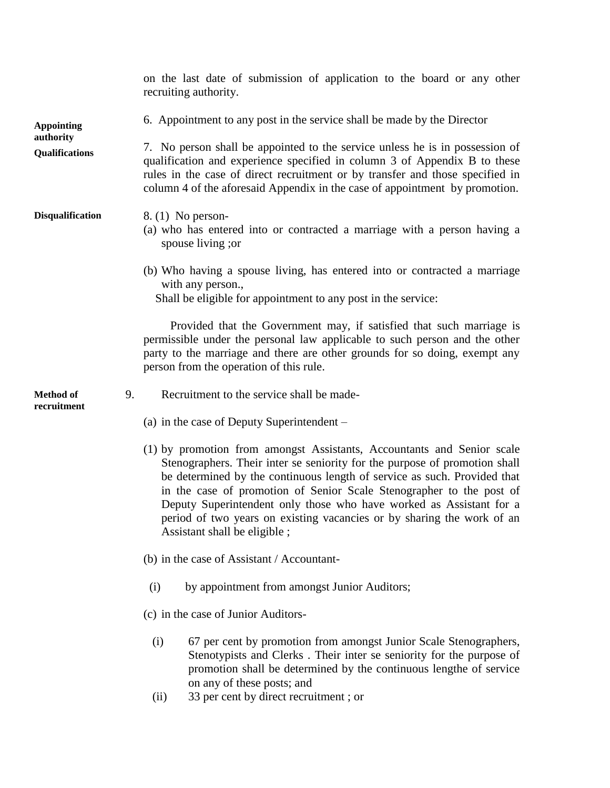on the last date of submission of application to the board or any other recruiting authority. 6. Appointment to any post in the service shall be made by the Director 7. No person shall be appointed to the service unless he is in possession of qualification and experience specified in column 3 of Appendix B to these rules in the case of direct recruitment or by transfer and those specified in column 4 of the aforesaid Appendix in the case of appointment by promotion. 8. (1) No person- (a) who has entered into or contracted a marriage with a person having a spouse living ;or (b) Who having a spouse living, has entered into or contracted a marriage with any person., Shall be eligible for appointment to any post in the service: Provided that the Government may, if satisfied that such marriage is permissible under the personal law applicable to such person and the other party to the marriage and there are other grounds for so doing, exempt any person from the operation of this rule. 9. Recruitment to the service shall be made- (a) in the case of Deputy Superintendent – (1) by promotion from amongst Assistants, Accountants and Senior scale Stenographers. Their inter se seniority for the purpose of promotion shall be determined by the continuous length of service as such. Provided that in the case of promotion of Senior Scale Stenographer to the post of Deputy Superintendent only those who have worked as Assistant for a period of two years on existing vacancies or by sharing the work of an Assistant shall be eligible ; (b) in the case of Assistant / Accountant- (i) by appointment from amongst Junior Auditors; (c) in the case of Junior Auditors- (i) 67 per cent by promotion from amongst Junior Scale Stenographers, Stenotypists and Clerks . Their inter se seniority for the purpose of promotion shall be determined by the continuous lengthe of service on any of these posts; and (ii) 33 per cent by direct recruitment ; or **Appointing authority Qualifications Disqualification Method of recruitment**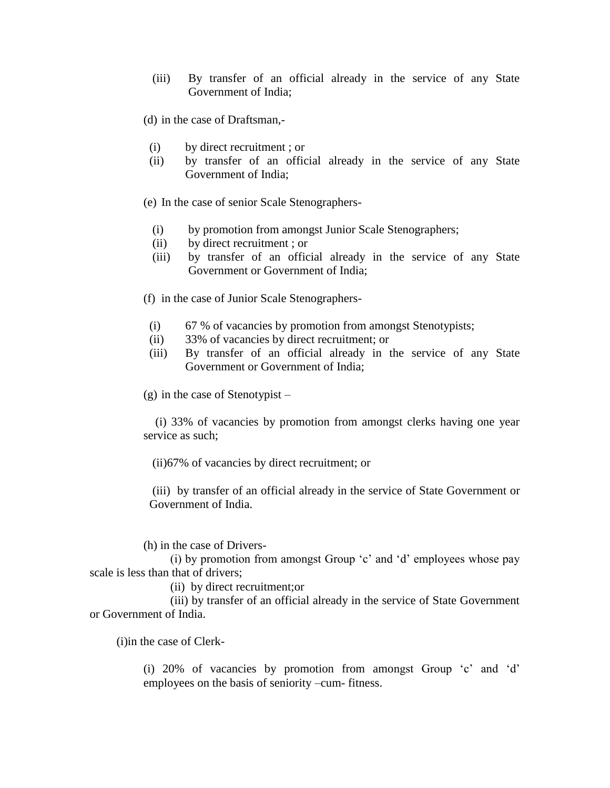- (iii) By transfer of an official already in the service of any State Government of India;
- (d) in the case of Draftsman,-
- (i) by direct recruitment ; or
- (ii) by transfer of an official already in the service of any State Government of India;
- (e) In the case of senior Scale Stenographers-
	- (i) by promotion from amongst Junior Scale Stenographers;
	- (ii) by direct recruitment ; or
	- (iii) by transfer of an official already in the service of any State Government or Government of India;
- (f) in the case of Junior Scale Stenographers-
- (i) 67 % of vacancies by promotion from amongst Stenotypists;
- (ii) 33% of vacancies by direct recruitment; or
- (iii) By transfer of an official already in the service of any State Government or Government of India;

(g) in the case of Stenotypist –

 (i) 33% of vacancies by promotion from amongst clerks having one year service as such;

(ii)67% of vacancies by direct recruitment; or

(iii) by transfer of an official already in the service of State Government or Government of India.

(h) in the case of Drivers-

(i) by promotion from amongst Group  $\mathcal{C}$  and  $\mathcal{C}$  employees whose pay scale is less than that of drivers;

(ii) by direct recruitment;or

 (iii) by transfer of an official already in the service of State Government or Government of India.

(i)in the case of Clerk-

(i)  $20\%$  of vacancies by promotion from amongst Group  $c$  and  $d$ employees on the basis of seniority –cum- fitness.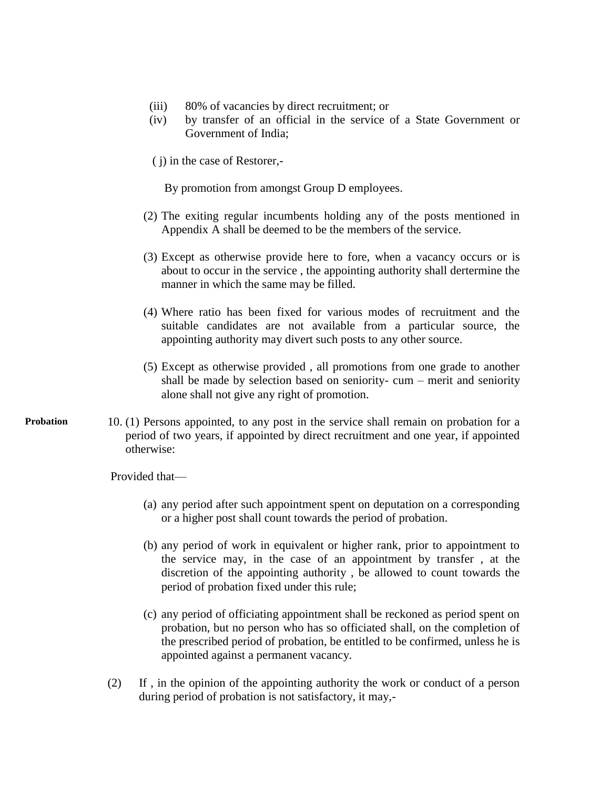- (iii) 80% of vacancies by direct recruitment; or
- (iv) by transfer of an official in the service of a State Government or Government of India;
- ( j) in the case of Restorer,-

By promotion from amongst Group D employees.

- (2) The exiting regular incumbents holding any of the posts mentioned in Appendix A shall be deemed to be the members of the service.
- (3) Except as otherwise provide here to fore, when a vacancy occurs or is about to occur in the service , the appointing authority shall dertermine the manner in which the same may be filled.
- (4) Where ratio has been fixed for various modes of recruitment and the suitable candidates are not available from a particular source, the appointing authority may divert such posts to any other source.
- (5) Except as otherwise provided , all promotions from one grade to another shall be made by selection based on seniority- cum – merit and seniority alone shall not give any right of promotion.
- 10. (1) Persons appointed, to any post in the service shall remain on probation for a period of two years, if appointed by direct recruitment and one year, if appointed otherwise: **Probation**

Provided that—

- (a) any period after such appointment spent on deputation on a corresponding or a higher post shall count towards the period of probation.
- (b) any period of work in equivalent or higher rank, prior to appointment to the service may, in the case of an appointment by transfer , at the discretion of the appointing authority , be allowed to count towards the period of probation fixed under this rule;
- (c) any period of officiating appointment shall be reckoned as period spent on probation, but no person who has so officiated shall, on the completion of the prescribed period of probation, be entitled to be confirmed, unless he is appointed against a permanent vacancy.
- (2) If , in the opinion of the appointing authority the work or conduct of a person during period of probation is not satisfactory, it may,-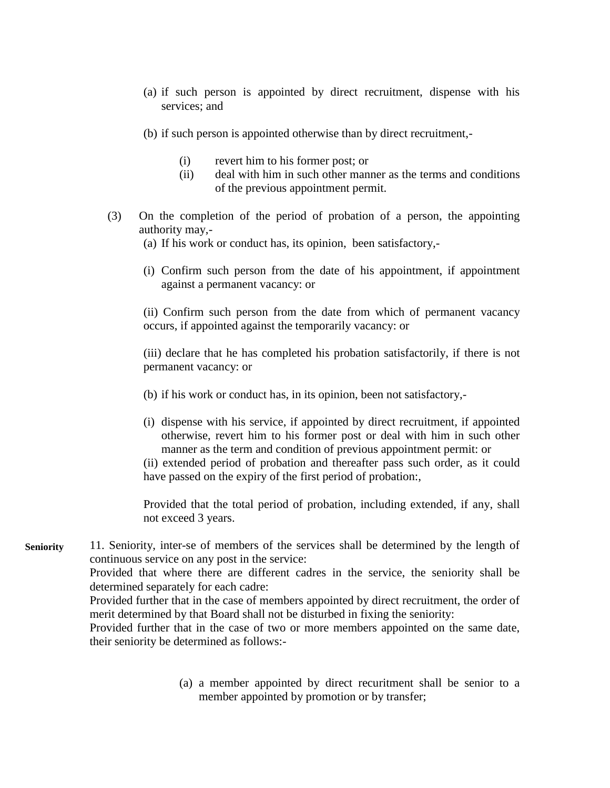- (a) if such person is appointed by direct recruitment, dispense with his services; and
- (b) if such person is appointed otherwise than by direct recruitment,-
	- (i) revert him to his former post; or
	- (ii) deal with him in such other manner as the terms and conditions of the previous appointment permit.
- (3) On the completion of the period of probation of a person, the appointing authority may,-
	- (a) If his work or conduct has, its opinion, been satisfactory,-
	- (i) Confirm such person from the date of his appointment, if appointment against a permanent vacancy: or

(ii) Confirm such person from the date from which of permanent vacancy occurs, if appointed against the temporarily vacancy: or

(iii) declare that he has completed his probation satisfactorily, if there is not permanent vacancy: or

- (b) if his work or conduct has, in its opinion, been not satisfactory,-
- (i) dispense with his service, if appointed by direct recruitment, if appointed otherwise, revert him to his former post or deal with him in such other manner as the term and condition of previous appointment permit: or

(ii) extended period of probation and thereafter pass such order, as it could have passed on the expiry of the first period of probation:,

Provided that the total period of probation, including extended, if any, shall not exceed 3 years.

11. Seniority, inter-se of members of the services shall be determined by the length of continuous service on any post in the service: Provided that where there are different cadres in the service, the seniority shall be determined separately for each cadre: **Seniority**

> Provided further that in the case of members appointed by direct recruitment, the order of merit determined by that Board shall not be disturbed in fixing the seniority:

> Provided further that in the case of two or more members appointed on the same date, their seniority be determined as follows:-

> > (a) a member appointed by direct recuritment shall be senior to a member appointed by promotion or by transfer;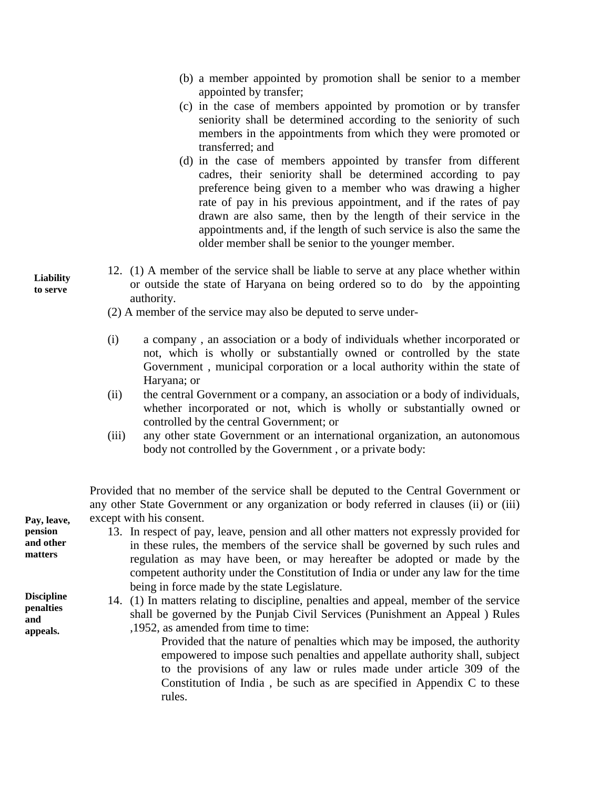- (b) a member appointed by promotion shall be senior to a member appointed by transfer;
- (c) in the case of members appointed by promotion or by transfer seniority shall be determined according to the seniority of such members in the appointments from which they were promoted or transferred; and
- (d) in the case of members appointed by transfer from different cadres, their seniority shall be determined according to pay preference being given to a member who was drawing a higher rate of pay in his previous appointment, and if the rates of pay drawn are also same, then by the length of their service in the appointments and, if the length of such service is also the same the older member shall be senior to the younger member.
- 12. (1) A member of the service shall be liable to serve at any place whether within or outside the state of Haryana on being ordered so to do by the appointing authority.
	- (2) A member of the service may also be deputed to serve under-
	- (i) a company , an association or a body of individuals whether incorporated or not, which is wholly or substantially owned or controlled by the state Government , municipal corporation or a local authority within the state of Haryana; or
	- (ii) the central Government or a company, an association or a body of individuals, whether incorporated or not, which is wholly or substantially owned or controlled by the central Government; or
	- (iii) any other state Government or an international organization, an autonomous body not controlled by the Government , or a private body:

Provided that no member of the service shall be deputed to the Central Government or any other State Government or any organization or body referred in clauses (ii) or (iii) except with his consent.

13. In respect of pay, leave, pension and all other matters not expressly provided for in these rules, the members of the service shall be governed by such rules and regulation as may have been, or may hereafter be adopted or made by the competent authority under the Constitution of India or under any law for the time being in force made by the state Legislature.

14. (1) In matters relating to discipline, penalties and appeal, member of the service shall be governed by the Punjab Civil Services (Punishment an Appeal ) Rules ,1952, as amended from time to time:

> Provided that the nature of penalties which may be imposed, the authority empowered to impose such penalties and appellate authority shall, subject to the provisions of any law or rules made under article 309 of the Constitution of India , be such as are specified in Appendix C to these rules.

**Pay, leave, pension and other matters** 

**Liability to serve**

**Discipline penalties and appeals.**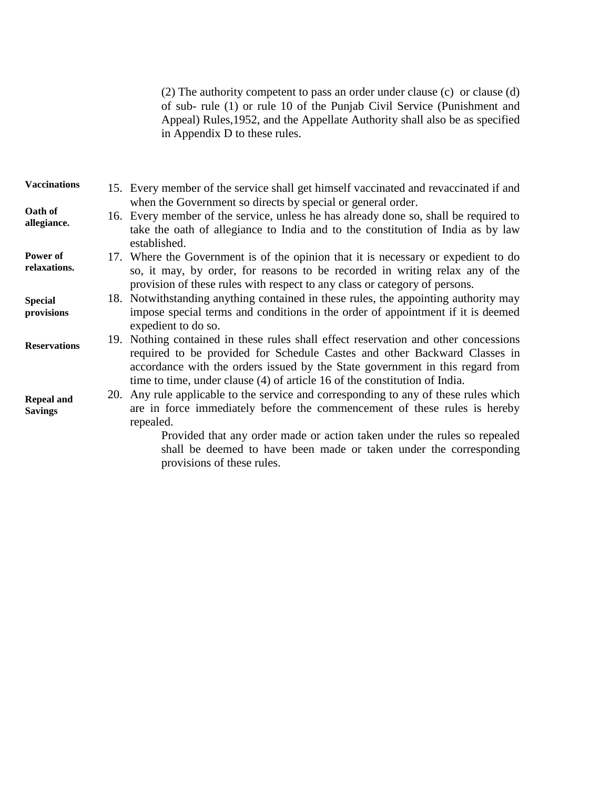(2) The authority competent to pass an order under clause (c) or clause (d) of sub- rule (1) or rule 10 of the Punjab Civil Service (Punishment and Appeal) Rules,1952, and the Appellate Authority shall also be as specified in Appendix D to these rules.

| <b>Vaccinations</b>                 | 15. Every member of the service shall get himself vaccinated and revaccinated if and                                                                                                                                                                         |
|-------------------------------------|--------------------------------------------------------------------------------------------------------------------------------------------------------------------------------------------------------------------------------------------------------------|
| Oath of<br>allegiance.              | when the Government so directs by special or general order.<br>16. Every member of the service, unless he has already done so, shall be required to<br>take the oath of allegiance to India and to the constitution of India as by law<br>established.       |
| Power of<br>relaxations.            | 17. Where the Government is of the opinion that it is necessary or expedient to do<br>so, it may, by order, for reasons to be recorded in writing relax any of the<br>provision of these rules with respect to any class or category of persons.             |
| <b>Special</b><br>provisions        | 18. Notwithstanding anything contained in these rules, the appointing authority may<br>impose special terms and conditions in the order of appointment if it is deemed<br>expedient to do so.                                                                |
| <b>Reservations</b>                 | 19. Nothing contained in these rules shall effect reservation and other concessions<br>required to be provided for Schedule Castes and other Backward Classes in<br>accordance with the orders issued by the State government in this regard from            |
| <b>Repeal and</b><br><b>Savings</b> | time to time, under clause (4) of article 16 of the constitution of India.<br>20. Any rule applicable to the service and corresponding to any of these rules which<br>are in force immediately before the commencement of these rules is hereby<br>repealed. |
|                                     | Provided that any order made or action taken under the rules so repealed<br>shall be deemed to have been made or taken under the corresponding                                                                                                               |

provisions of these rules.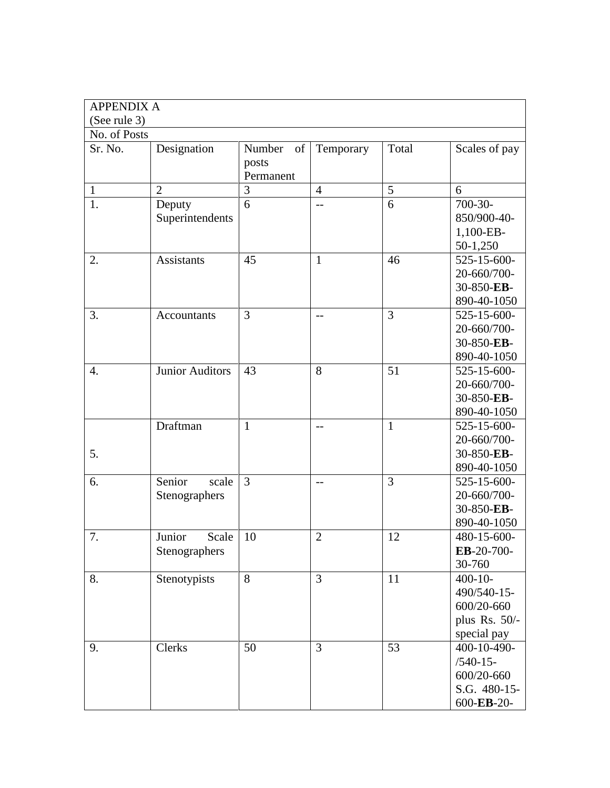| <b>APPENDIX A</b> |                                  |                                    |                |              |                                                                           |
|-------------------|----------------------------------|------------------------------------|----------------|--------------|---------------------------------------------------------------------------|
| (See rule 3)      |                                  |                                    |                |              |                                                                           |
| No. of Posts      |                                  |                                    |                |              |                                                                           |
| Sr. No.           | Designation                      | Number<br>of<br>posts<br>Permanent | Temporary      | Total        | Scales of pay                                                             |
| $\mathbf{1}$      | $\overline{2}$                   | 3                                  | $\overline{4}$ | 5            | 6                                                                         |
| 1.                | Deputy<br>Superintendents        | 6                                  | $-$            | 6            | $700 - 30$<br>850/900-40-<br>1,100-EB-<br>50-1,250                        |
| 2.                | <b>Assistants</b>                | 45                                 | $\mathbf{1}$   | 46           | 525-15-600-<br>20-660/700-<br>30-850-EB-<br>890-40-1050                   |
| 3.                | Accountants                      | 3                                  | $-$            | 3            | 525-15-600-<br>20-660/700-<br>30-850-EB-<br>890-40-1050                   |
| $\overline{4}$ .  | <b>Junior Auditors</b>           | 43                                 | 8              | 51           | 525-15-600-<br>20-660/700-<br>30-850-EB-<br>890-40-1050                   |
| 5.                | Draftman                         | $\mathbf{1}$                       | $-$            | $\mathbf{1}$ | 525-15-600-<br>20-660/700-<br>30-850-EB-<br>890-40-1050                   |
| 6.                | Senior<br>scale<br>Stenographers | 3                                  | $-$            | 3            | 525-15-600-<br>20-660/700-<br>30-850-EB-<br>890-40-1050                   |
| 7.                | Junior<br>Scale<br>Stenographers | 10                                 | $\overline{2}$ | 12           | 480-15-600-<br>EB-20-700-<br>30-760                                       |
| 8.                | Stenotypists                     | 8                                  | $\overline{3}$ | 11           | $400 - 10 -$<br>490/540-15-<br>600/20-660<br>plus Rs. 50/-<br>special pay |
| 9.                | Clerks                           | 50                                 | 3              | 53           | 400-10-490-<br>$/540-15-$<br>600/20-660<br>S.G. 480-15-<br>600-EB-20-     |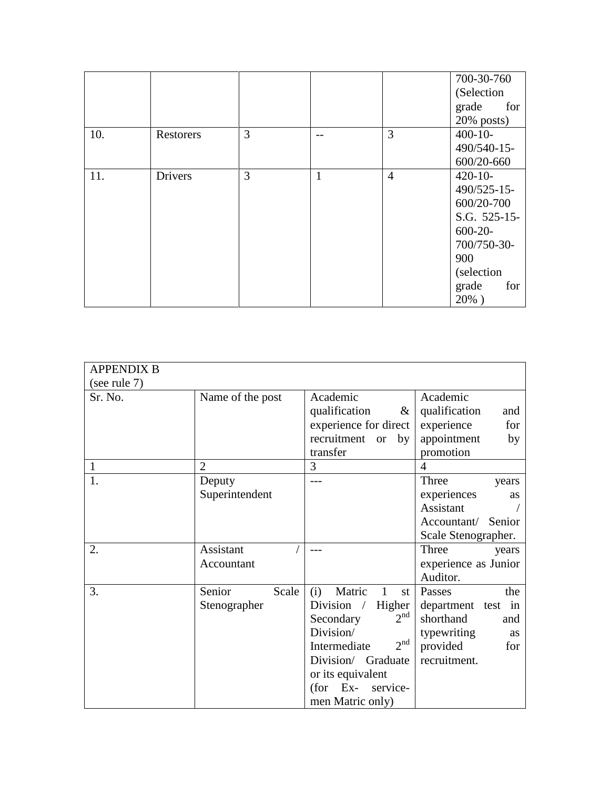|     |                |   |              |                | 700-30-760    |
|-----|----------------|---|--------------|----------------|---------------|
|     |                |   |              |                | (Selection    |
|     |                |   |              |                | grade<br>for  |
|     |                |   |              |                | $20\%$ posts) |
| 10. | Restorers      | 3 |              | 3              | $400-10-$     |
|     |                |   |              |                | 490/540-15-   |
|     |                |   |              |                | 600/20-660    |
| 11. | <b>Drivers</b> | 3 | $\mathbf{1}$ | $\overline{4}$ | $420-10-$     |
|     |                |   |              |                | 490/525-15-   |
|     |                |   |              |                | 600/20-700    |
|     |                |   |              |                | S.G. 525-15-  |
|     |                |   |              |                | $600-20-$     |
|     |                |   |              |                | 700/750-30-   |
|     |                |   |              |                | 900           |
|     |                |   |              |                | (selection    |
|     |                |   |              |                | grade<br>for  |
|     |                |   |              |                | $20\%$ )      |

| <b>APPENDIX B</b> |                                 |                                                                                                                                                                                                                                                |                                                                                                                        |
|-------------------|---------------------------------|------------------------------------------------------------------------------------------------------------------------------------------------------------------------------------------------------------------------------------------------|------------------------------------------------------------------------------------------------------------------------|
| (see rule 7)      |                                 |                                                                                                                                                                                                                                                |                                                                                                                        |
| Sr. No.           | Name of the post                | Academic<br>qualification<br>&<br>experience for direct<br>recruitment<br>by<br><b>or</b><br>transfer                                                                                                                                          | Academic<br>qualification<br>and<br>for<br>experience<br>appointment<br>by<br>promotion                                |
| $\mathbf{1}$      | $\overline{2}$                  | 3                                                                                                                                                                                                                                              | $\overline{4}$                                                                                                         |
| 1.                | Deputy<br>Superintendent        |                                                                                                                                                                                                                                                | Three<br>years<br>experiences<br><b>as</b><br>Assistant<br>Accountant/ Senior<br>Scale Stenographer.                   |
| 2.                | Assistant<br>Accountant         |                                                                                                                                                                                                                                                | Three<br>years<br>experience as Junior<br>Auditor.                                                                     |
| 3.                | Senior<br>Scale<br>Stenographer | Matric<br>(i)<br>$\mathbf{1}$<br>st<br>Division $\sqrt{ }$<br>Higher<br>2 <sup>nd</sup><br>Secondary<br>Division/<br>2 <sup>nd</sup><br>Intermediate<br>Division/ Graduate<br>or its equivalent<br>Ex-<br>(for<br>service-<br>men Matric only) | Passes<br>the<br>department test in<br>shorthand<br>and<br>typewriting<br><b>as</b><br>provided<br>for<br>recruitment. |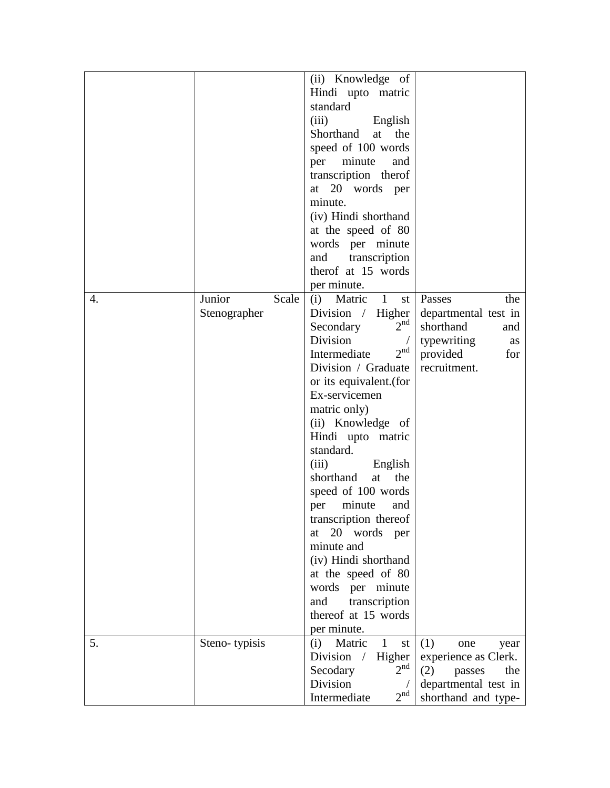|    |                                 | (ii) Knowledge of<br>Hindi upto matric<br>standard<br>(iii)<br>English<br>Shorthand<br>the<br>at<br>speed of 100 words<br>minute<br>per<br>and<br>transcription therof<br>at 20 words per<br>minute.<br>(iv) Hindi shorthand<br>at the speed of 80<br>words per minute<br>transcription<br>and<br>therof at 15 words<br>per minute.                                                                                                                                                                                                                          |                                                                                                                   |
|----|---------------------------------|--------------------------------------------------------------------------------------------------------------------------------------------------------------------------------------------------------------------------------------------------------------------------------------------------------------------------------------------------------------------------------------------------------------------------------------------------------------------------------------------------------------------------------------------------------------|-------------------------------------------------------------------------------------------------------------------|
| 4. | Junior<br>Scale<br>Stenographer | Matric<br>1<br>(i)<br>st l<br>Division / Higher<br>2 <sup>nd</sup><br>Secondary<br>Division<br>$2^{nd}$<br>Intermediate<br>Division / Graduate<br>or its equivalent.(for<br>Ex-servicemen<br>matric only)<br>(ii) Knowledge of<br>Hindi upto matric<br>standard.<br>(iii)<br>English<br>shorthand<br>the<br>at<br>speed of 100 words<br>minute<br>per<br>and<br>transcription thereof<br>20 words<br>at<br>per<br>minute and<br>(iv) Hindi shorthand<br>at the speed of 80<br>words per minute<br>transcription<br>and<br>thereof at 15 words<br>per minute. | Passes<br>the<br>departmental test in<br>shorthand<br>and<br>typewriting<br>as<br>provided<br>for<br>recruitment. |
| 5. | Steno-typisis                   | 1<br>(i)<br>Matric<br>st<br>Higher<br>Division<br>$\sqrt{2}$<br>2 <sup>nd</sup><br>Secodary<br>Division<br>2 <sup>nd</sup><br>Intermediate                                                                                                                                                                                                                                                                                                                                                                                                                   | (1)<br>one<br>year<br>experience as Clerk.<br>(2)<br>the<br>passes<br>departmental test in<br>shorthand and type- |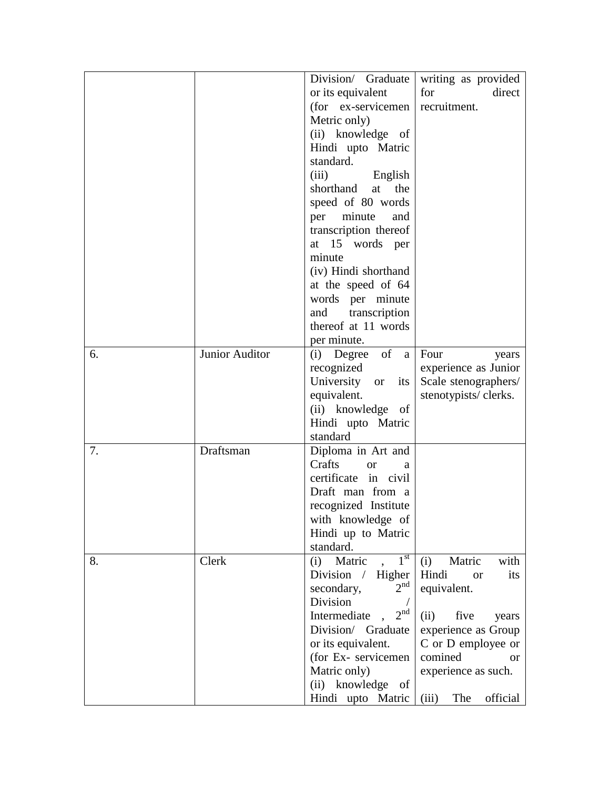|    |                | Division/ Graduate               | writing as provided       |
|----|----------------|----------------------------------|---------------------------|
|    |                | or its equivalent                | for<br>direct             |
|    |                | (for ex-servicemen)              | recruitment.              |
|    |                | Metric only)                     |                           |
|    |                | (ii) knowledge of                |                           |
|    |                | Hindi upto Matric                |                           |
|    |                | standard.                        |                           |
|    |                | (iii) English                    |                           |
|    |                | shorthand<br>the<br>at           |                           |
|    |                | speed of 80 words                |                           |
|    |                | minute<br>per<br>and             |                           |
|    |                |                                  |                           |
|    |                | transcription thereof            |                           |
|    |                | at 15 words per                  |                           |
|    |                | minute                           |                           |
|    |                | (iv) Hindi shorthand             |                           |
|    |                | at the speed of 64               |                           |
|    |                | words per minute                 |                           |
|    |                | transcription<br>and             |                           |
|    |                | thereof at 11 words              |                           |
|    |                | per minute.                      |                           |
| 6. | Junior Auditor | (i) Degree of a Four             | years                     |
|    |                | recognized                       | experience as Junior      |
|    |                | University<br>its<br><b>or</b>   | Scale stenographers/      |
|    |                | equivalent.                      | stenotypists/clerks.      |
|    |                | (ii) knowledge of                |                           |
|    |                | Hindi upto Matric                |                           |
|    |                | standard                         |                           |
| 7. | Draftsman      | Diploma in Art and               |                           |
|    |                | Crafts<br><sub>or</sub><br>a     |                           |
|    |                | certificate in civil             |                           |
|    |                | Draft man from a                 |                           |
|    |                | recognized Institute             |                           |
|    |                | with knowledge of                |                           |
|    |                | Hindi up to Matric               |                           |
|    |                | standard.                        |                           |
| 8. | Clerk          | 1 <sup>st</sup><br>Matric<br>(i) | Matric<br>(i)<br>with     |
|    |                | Division / Higher                | Hindi<br>its<br><b>or</b> |
|    |                | 2 <sup>nd</sup><br>secondary,    | equivalent.               |
|    |                | Division                         |                           |
|    |                | 2 <sup>nd</sup>                  |                           |
|    |                | Intermediate                     | five<br>(ii)<br>years     |
|    |                | Division/ Graduate               | experience as Group       |
|    |                | or its equivalent.               | C or D employee or        |
|    |                | (for Ex- servicemen              | comined<br><b>or</b>      |
|    |                | Matric only)                     | experience as such.       |
|    |                | (ii) knowledge of                |                           |
|    |                | Hindi upto Matric                | official<br>The<br>(iii)  |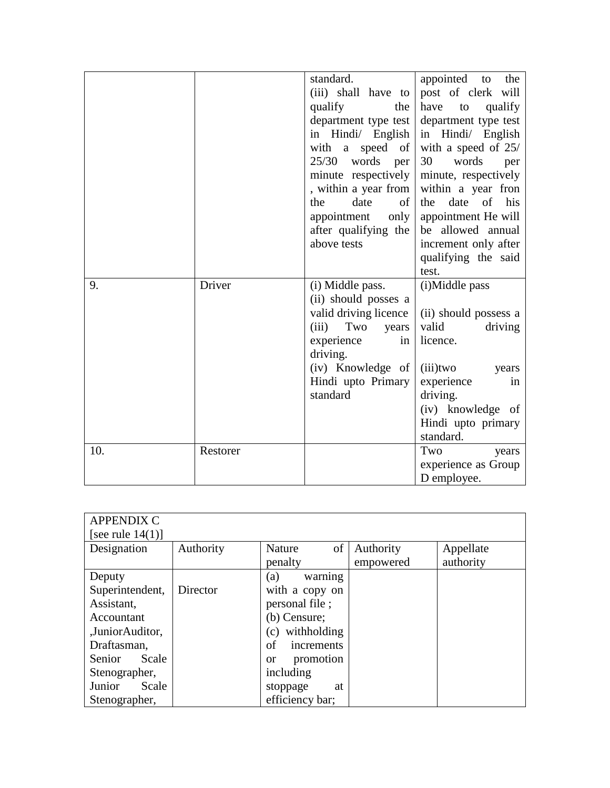|     |          | standard.             | appointed to<br>the                |
|-----|----------|-----------------------|------------------------------------|
|     |          | (iii) shall have to   | post of clerk will                 |
|     |          | qualify<br>the        | have<br>to<br>qualify              |
|     |          | department type test  | department type test               |
|     |          | in Hindi/ English     | in Hindi/ English                  |
|     |          | a speed of<br>with    | with a speed of 25/                |
|     |          | words<br>25/30<br>per | 30<br>words<br>per                 |
|     |          | minute respectively   | minute, respectively               |
|     |          | , within a year from  | within a year fron                 |
|     |          | the<br>date<br>of     | date of his<br>the                 |
|     |          | appointment<br>only   | appointment He will                |
|     |          | after qualifying the  | be allowed annual                  |
|     |          | above tests           |                                    |
|     |          |                       | increment only after               |
|     |          |                       | qualifying the said                |
|     |          |                       | test.                              |
|     |          |                       |                                    |
| 9.  | Driver   | (i) Middle pass.      | (i)Middle pass                     |
|     |          | (ii) should posses a  |                                    |
|     |          | valid driving licence | (ii) should possess a              |
|     |          | (iii)<br>Two<br>years | valid<br>driving                   |
|     |          | experience<br>in      | licence.                           |
|     |          | driving.              |                                    |
|     |          | (iv) Knowledge of     | $(iii)$ two<br>years               |
|     |          | Hindi upto Primary    | experience<br>in                   |
|     |          | standard              | driving.                           |
|     |          |                       | (iv) knowledge of                  |
|     |          |                       | Hindi upto primary                 |
|     |          |                       | standard.                          |
| 10. | Restorer |                       | Two<br>years                       |
|     |          |                       | experience as Group<br>D employee. |

| <b>APPENDIX C</b>   |           |                        |           |           |
|---------------------|-----------|------------------------|-----------|-----------|
| [see rule $14(1)$ ] |           |                        |           |           |
| Designation         | Authority | of<br>Nature           | Authority | Appellate |
|                     |           | penalty                | empowered | authority |
| Deputy              |           | (a)<br>warning         |           |           |
| Superintendent,     | Director  | with a copy on         |           |           |
| Assistant.          |           | personal file;         |           |           |
| Accountant          |           | (b) Censure;           |           |           |
| ,JuniorAuditor,     |           | (c) withholding        |           |           |
| Draftasman,         |           | οf<br>increments       |           |           |
| Senior<br>Scale     |           | promotion<br><b>or</b> |           |           |
| Stenographer,       |           | including              |           |           |
| Junior<br>Scale     |           | stoppage<br>at         |           |           |
| Stenographer,       |           | efficiency bar;        |           |           |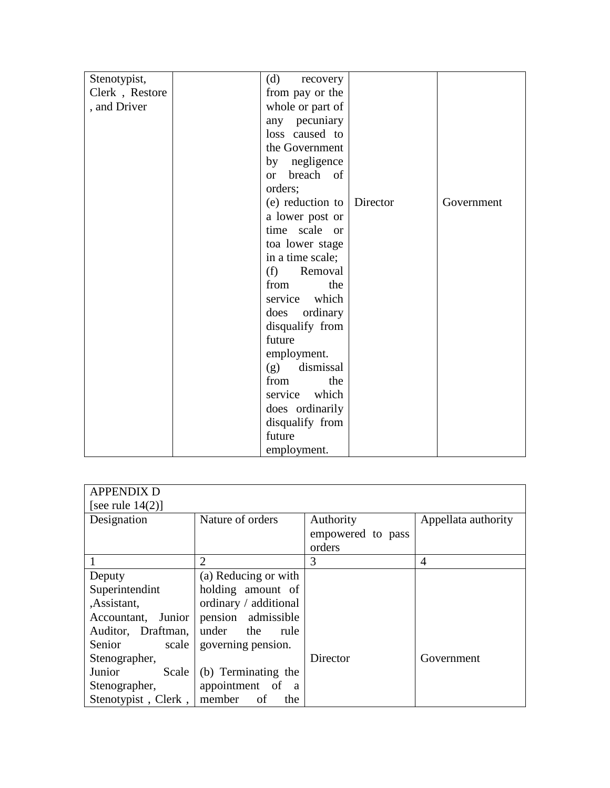| Stenotypist,   | (d)<br>recovery                   |            |
|----------------|-----------------------------------|------------|
| Clerk, Restore | from pay or the                   |            |
| , and Driver   | whole or part of                  |            |
|                | any pecuniary                     |            |
|                | loss caused to                    |            |
|                | the Government                    |            |
|                | by negligence                     |            |
|                | breach of<br><b>or</b>            |            |
|                | orders;                           |            |
|                | (e) reduction to $\vert$ Director | Government |
|                | a lower post or                   |            |
|                | time scale or                     |            |
|                | toa lower stage                   |            |
|                | in a time scale;                  |            |
|                | (f)<br>Removal                    |            |
|                | the<br>from                       |            |
|                | service which                     |            |
|                | ordinary<br>does                  |            |
|                | disqualify from                   |            |
|                | future                            |            |
|                | employment.                       |            |
|                | dismissal<br>(g)                  |            |
|                | from<br>the                       |            |
|                | service which                     |            |
|                | does ordinarily                   |            |
|                | disqualify from                   |            |
|                | future                            |            |
|                | employment.                       |            |

| <b>APPENDIX D</b>          |                             |                   |                     |
|----------------------------|-----------------------------|-------------------|---------------------|
| [see rule $14(2)$ ]        |                             |                   |                     |
| Designation                | Nature of orders            | Authority         | Appellata authority |
|                            |                             | empowered to pass |                     |
|                            |                             | orders            |                     |
|                            | $\mathcal{D}_{\mathcal{L}}$ | 3                 | $\overline{4}$      |
| Deputy                     | (a) Reducing or with        |                   |                     |
| Superintendint             | holding amount of           |                   |                     |
| ,Assistant,                | ordinary / additional       |                   |                     |
| Accountant, Junior         | pension admissible          |                   |                     |
| Auditor, Draftman,         | under the<br>rule           |                   |                     |
| Senior<br>scale            | governing pension.          |                   |                     |
| Stenographer,              |                             | Director          | Government          |
| Junior<br>Scale            | (b) Terminating the         |                   |                     |
| Stenographer,              | appointment of a            |                   |                     |
| Stenotypist, Clerk, member | of<br>the                   |                   |                     |